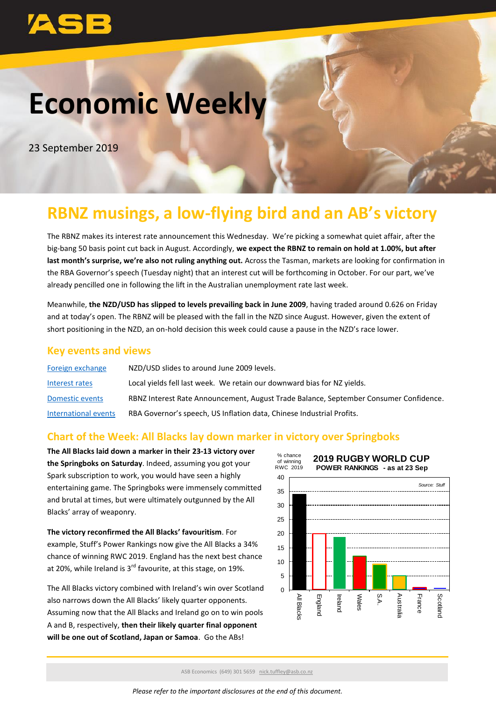# **Economic Weekly**

23 September 2019

# **RBNZ musings, a low-flying bird and an AB's victory**

The RBNZ makes its interest rate announcement this Wednesday. We're picking a somewhat quiet affair, after the big-bang 50 basis point cut back in August. Accordingly, **we expect the RBNZ to remain on hold at 1.00%, but after last month's surprise, we're also not ruling anything out.** Across the Tasman, markets are looking for confirmation in the RBA Governor's speech (Tuesday night) that an interest cut will be forthcoming in October. For our part, we've already pencilled one in following the lift in the Australian unemployment rate last week.

Meanwhile, **the NZD/USD has slipped to levels prevailing back in June 2009**, having traded around 0.626 on Friday and at today's open. The RBNZ will be pleased with the fall in the NZD since August. However, given the extent of short positioning in the NZD, an on-hold decision this week could cause a pause in the NZD's race lower.

### **Key events and views**

| Foreign exchange     | NZD/USD slides to around June 2009 levels.                                            |
|----------------------|---------------------------------------------------------------------------------------|
| Interest rates       | Local yields fell last week. We retain our downward bias for NZ yields.               |
| Domestic events      | RBNZ Interest Rate Announcement, August Trade Balance, September Consumer Confidence. |
| International events | RBA Governor's speech, US Inflation data, Chinese Industrial Profits.                 |

### **Chart of the Week: All Blacks lay down marker in victory over Springboks**

**The All Blacks laid down a marker in their 23-13 victory over the Springboks on Saturday**. Indeed, assuming you got your Spark subscription to work, you would have seen a highly entertaining game. The Springboks were immensely committed and brutal at times, but were ultimately outgunned by the All Blacks' array of weaponry.

**The victory reconfirmed the All Blacks' favouritism**. For example, Stuff's Power Rankings now give the All Blacks a 34% chance of winning RWC 2019. England has the next best chance at 20%, while Ireland is  $3<sup>rd</sup>$  favourite, at this stage, on 19%.

The All Blacks victory combined with Ireland's win over Scotland also narrows down the All Blacks' likely quarter opponents. Assuming now that the All Blacks and Ireland go on to win pools A and B, respectively, **then their likely quarter final opponent will be one out of Scotland, Japan or Samoa**. Go the ABs!



ASB Economics (649) 301 5659 [nick.tuffley@asb.co.nz](mailto:nick.tuffley@asb.co.nz)

*Please refer to the important disclosures at the end of this document.*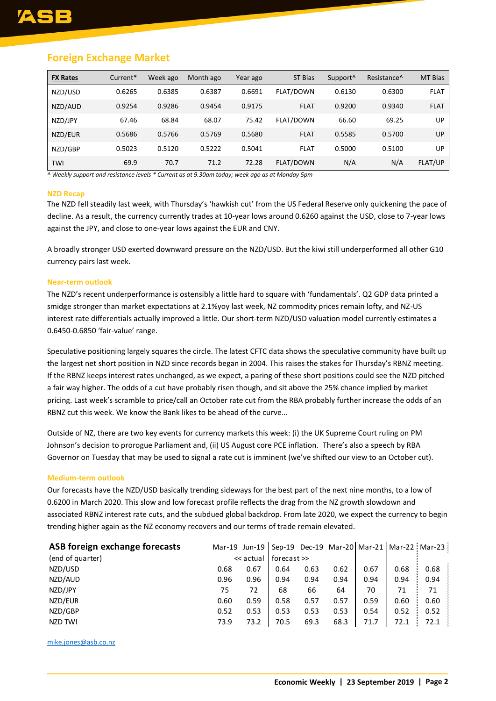# **Foreign Exchange Market**

| <b>FX Rates</b> | Current* | Week ago | Month ago | Year ago | ST Bias          | Support <sup>^</sup> | Resistance <sup>^</sup> | MT Bias     |
|-----------------|----------|----------|-----------|----------|------------------|----------------------|-------------------------|-------------|
| NZD/USD         | 0.6265   | 0.6385   | 0.6387    | 0.6691   | <b>FLAT/DOWN</b> | 0.6130               | 0.6300                  | <b>FLAT</b> |
| NZD/AUD         | 0.9254   | 0.9286   | 0.9454    | 0.9175   | <b>FLAT</b>      | 0.9200               | 0.9340                  | <b>FLAT</b> |
| NZD/JPY         | 67.46    | 68.84    | 68.07     | 75.42    | <b>FLAT/DOWN</b> | 66.60                | 69.25                   | UP          |
| NZD/EUR         | 0.5686   | 0.5766   | 0.5769    | 0.5680   | <b>FLAT</b>      | 0.5585               | 0.5700                  | UP          |
| NZD/GBP         | 0.5023   | 0.5120   | 0.5222    | 0.5041   | <b>FLAT</b>      | 0.5000               | 0.5100                  | UP          |
| <b>TWI</b>      | 69.9     | 70.7     | 71.2      | 72.28    | <b>FLAT/DOWN</b> | N/A                  | N/A                     | FLAT/UP     |

*^ Weekly support and resistance levels \* Current as at 9.30am today; week ago as at Monday 5pm*

#### **NZD Recap**

The NZD fell steadily last week, with Thursday's 'hawkish cut' from the US Federal Reserve only quickening the pace of decline. As a result, the currency currently trades at 10-year lows around 0.6260 against the USD, close to 7-year lows against the JPY, and close to one-year lows against the EUR and CNY.

A broadly stronger USD exerted downward pressure on the NZD/USD. But the kiwi still underperformed all other G10 currency pairs last week.

#### **Near-term outlook**

The NZD's recent underperformance is ostensibly a little hard to square with 'fundamentals'. Q2 GDP data printed a smidge stronger than market expectations at 2.1%yoy last week, NZ commodity prices remain lofty, and NZ-US interest rate differentials actually improved a little. Our short-term NZD/USD valuation model currently estimates a 0.6450-0.6850 'fair-value' range.

Speculative positioning largely squares the circle. The latest CFTC data shows the speculative community have built up the largest net short position in NZD since records began in 2004. This raises the stakes for Thursday's RBNZ meeting. If the RBNZ keeps interest rates unchanged, as we expect, a paring of these short positions could see the NZD pitched a fair way higher. The odds of a cut have probably risen though, and sit above the 25% chance implied by market pricing. Last week's scramble to price/call an October rate cut from the RBA probably further increase the odds of an RBNZ cut this week. We know the Bank likes to be ahead of the curve…

Outside of NZ, there are two key events for currency markets this week: (i) the UK Supreme Court ruling on PM Johnson's decision to prorogue Parliament and, (ii) US August core PCE inflation. There's also a speech by RBA Governor on Tuesday that may be used to signal a rate cut is imminent (we've shifted our view to an October cut).

#### **Medium-term outlook**

Our forecasts have the NZD/USD basically trending sideways for the best part of the next nine months, to a low of 0.6200 in March 2020. This slow and low forecast profile reflects the drag from the NZ growth slowdown and associated RBNZ interest rate cuts, and the subdued global backdrop. From late 2020, we expect the currency to begin trending higher again as the NZ economy recovers and our terms of trade remain elevated.

| ASB foreign exchange forecasts |      |           |             |      |      |      |      | Mar-19 Jun-19   Sep-19 Dec-19 Mar-20   Mar-21   Mar-22   Mar-23 |
|--------------------------------|------|-----------|-------------|------|------|------|------|-----------------------------------------------------------------|
| (end of quarter)               |      | << actual | forecast >> |      |      |      |      |                                                                 |
| NZD/USD                        | 0.68 | 0.67      | 0.64        | 0.63 | 0.62 | 0.67 | 0.68 | 0.68                                                            |
| NZD/AUD                        | 0.96 | 0.96      | 0.94        | 0.94 | 0.94 | 0.94 | 0.94 | 0.94                                                            |
| NZD/JPY                        | 75   | 72        | 68          | 66   | 64   | 70   | 71   | 71                                                              |
| NZD/EUR                        | 0.60 | 0.59      | 0.58        | 0.57 | 0.57 | 0.59 | 0.60 | 0.60                                                            |
| NZD/GBP                        | 0.52 | 0.53      | 0.53        | 0.53 | 0.53 | 0.54 | 0.52 | 0.52                                                            |
| NZD TWI                        | 73.9 | 73.2      | 70.5        | 69.3 | 68.3 | 71.7 | 72.1 | 72.1                                                            |
|                                |      |           |             |      |      |      |      |                                                                 |
| mike.jones@asb.co.nz           |      |           |             |      |      |      |      |                                                                 |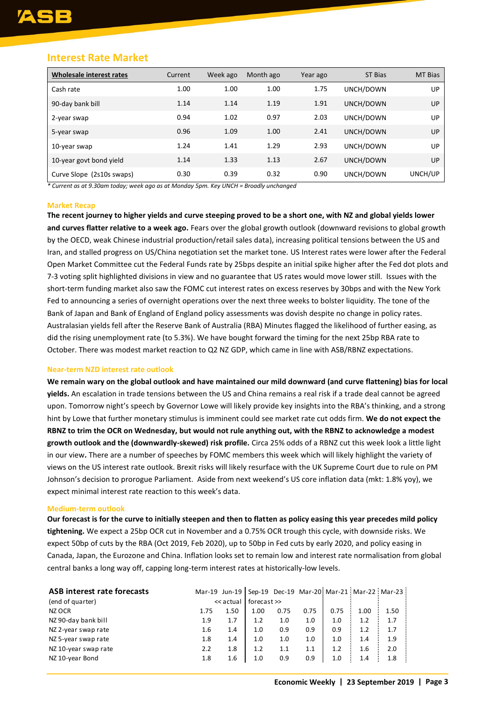### <span id="page-2-0"></span>**Interest Rate Market**

| Wholesale interest rates  | Current | Week ago | Month ago | Year ago | ST Bias   | MT Bias |
|---------------------------|---------|----------|-----------|----------|-----------|---------|
| Cash rate                 | 1.00    | 1.00     | 1.00      | 1.75     | UNCH/DOWN | UP      |
| 90-day bank bill          | 1.14    | 1.14     | 1.19      | 1.91     | UNCH/DOWN | UP      |
| 2-year swap               | 0.94    | 1.02     | 0.97      | 2.03     | UNCH/DOWN | UP      |
| 5-year swap               | 0.96    | 1.09     | 1.00      | 2.41     | UNCH/DOWN | UP      |
| 10-year swap              | 1.24    | 1.41     | 1.29      | 2.93     | UNCH/DOWN | UP      |
| 10-year govt bond yield   | 1.14    | 1.33     | 1.13      | 2.67     | UNCH/DOWN | UP      |
| Curve Slope (2s10s swaps) | 0.30    | 0.39     | 0.32      | 0.90     | UNCH/DOWN | UNCH/UP |

*\* Current as at 9.30am today; week ago as at Monday 5pm. Key UNCH = Broadly unchanged*

#### **Market Recap**

**The recent journey to higher yields and curve steeping proved to be a short one, with NZ and global yields lower and curves flatter relative to a week ago.** Fears over the global growth outlook (downward revisions to global growth by the OECD, weak Chinese industrial production/retail sales data), increasing political tensions between the US and Iran, and stalled progress on US/China negotiation set the market tone. US Interest rates were lower after the Federal Open Market Committee cut the Federal Funds rate by 25bps despite an initial spike higher after the Fed dot plots and 7-3 voting split highlighted divisions in view and no guarantee that US rates would move lower still. Issues with the short-term funding market also saw the FOMC cut interest rates on excess reserves by 30bps and with the New York Fed to announcing a series of overnight operations over the next three weeks to bolster liquidity. The tone of the Bank of Japan and Bank of England of England policy assessments was dovish despite no change in policy rates. Australasian yields fell after the Reserve Bank of Australia (RBA) Minutes flagged the likelihood of further easing, as did the rising unemployment rate (to 5.3%). We have bought forward the timing for the next 25bp RBA rate to October. There was modest market reaction to Q2 NZ GDP, which came in line with ASB/RBNZ expectations.

#### **Near-term NZD interest rate outlook**

**We remain wary on the global outlook and have maintained our mild downward (and curve flattening) bias for local yields.** An escalation in trade tensions between the US and China remains a real risk if a trade deal cannot be agreed upon. Tomorrow night's speech by Governor Lowe will likely provide key insights into the RBA's thinking, and a strong hint by Lowe that further monetary stimulus is imminent could see market rate cut odds firm. **We do not expect the RBNZ to trim the OCR on Wednesday, but would not rule anything out, with the RBNZ to acknowledge a modest growth outlook and the (downwardly-skewed) risk profile.** Circa 25% odds of a RBNZ cut this week look a little light in our view**.** There are a number of speeches by FOMC members this week which will likely highlight the variety of views on the US interest rate outlook. Brexit risks will likely resurface with the UK Supreme Court due to rule on PM Johnson's decision to prorogue Parliament. Aside from next weekend's US core inflation data (mkt: 1.8% yoy), we expect minimal interest rate reaction to this week's data.

#### **Medium-term outlook**

**Our forecast is for the curve to initially steepen and then to flatten as policy easing this year precedes mild policy tightening.** We expect a 25bp OCR cut in November and a 0.75% OCR trough this cycle, with downside risks. We expect 50bp of cuts by the RBA (Oct 2019, Feb 2020), up to 50bp in Fed cuts by early 2020, and policy easing in Canada, Japan, the Eurozone and China. Inflation looks set to remain low and interest rate normalisation from global central banks a long way off, capping long-term interest rates at historically-low levels.

| ASB interest rate forecasts |         |           |             |      |      |      |      | Mar-19 Jun-19   Sep-19 Dec-19 Mar-20   Mar-21   Mar-22   Mar-23 |
|-----------------------------|---------|-----------|-------------|------|------|------|------|-----------------------------------------------------------------|
| (end of quarter)            |         | << actual | forecast >> |      |      |      |      |                                                                 |
| NZ OCR                      | 1.75    | 1.50      | 1.00        | 0.75 | 0.75 | 0.75 | 1.00 | 1.50                                                            |
| NZ 90-day bank bill         | 1.9     | 1.7       | 1.2         | 1.0  | 1.0  | 1.0  | 1.2  | 1.7                                                             |
| NZ 2-year swap rate         | $1.6\,$ | 1.4       | 1.0         | 0.9  | 0.9  | 0.9  | 1.2  | 1.7                                                             |
| NZ 5-year swap rate         | 1.8     | 1.4       | 1.0         | 1.0  | 1.0  | 1.0  | 1.4  | 1.9                                                             |
| NZ 10-year swap rate        | 2.2     | 1.8       | 1.2         | 1.1  | 1.1  | 1.2  | 1.6  | 2.0                                                             |
| NZ 10-year Bond             | 1.8     | 1.6       | 1.0         | 0.9  | 0.9  | 1.0  | 1.4  | 1.8                                                             |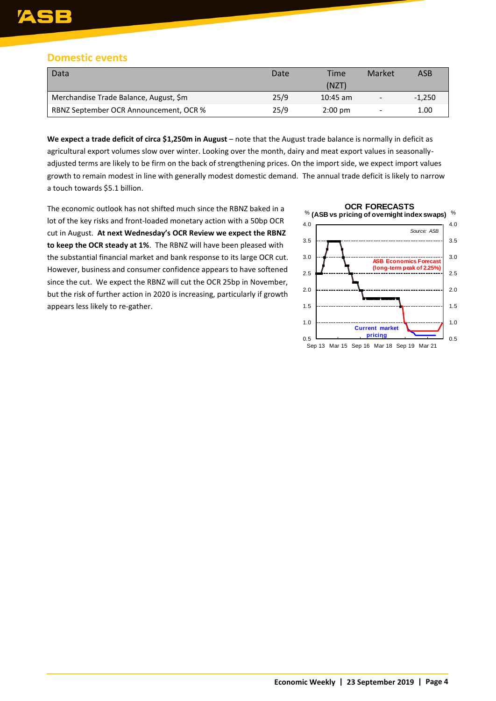# Е

# <span id="page-3-0"></span>**Domestic events**

| Data                                   | Date | Time              | Market | ASB      |
|----------------------------------------|------|-------------------|--------|----------|
|                                        |      | (NZT)             |        |          |
| Merchandise Trade Balance, August, \$m | 25/9 | $10:45$ am        |        | $-1.250$ |
| RBNZ September OCR Announcement, OCR % | 25/9 | $2:00 \text{ pm}$ |        | 1.00     |

We expect a trade deficit of circa \$1,250m in August – note that the August trade balance is normally in deficit as agricultural export volumes slow over winter. Looking over the month, dairy and meat export values in seasonallyadjusted terms are likely to be firm on the back of strengthening prices. On the import side, we expect import values growth to remain modest in line with generally modest domestic demand. The annual trade deficit is likely to narrow a touch towards \$5.1 billion.

The economic outlook has not shifted much since the RBNZ baked in a lot of the key risks and front-loaded monetary action with a 50bp OCR cut in August. **At next Wednesday's OCR Review we expect the RBNZ to keep the OCR steady at 1%**. The RBNZ will have been pleased with the substantial financial market and bank response to its large OCR cut. However, business and consumer confidence appears to have softened since the cut. We expect the RBNZ will cut the OCR 25bp in November, but the risk of further action in 2020 is increasing, particularly if growth appears less likely to re-gather.

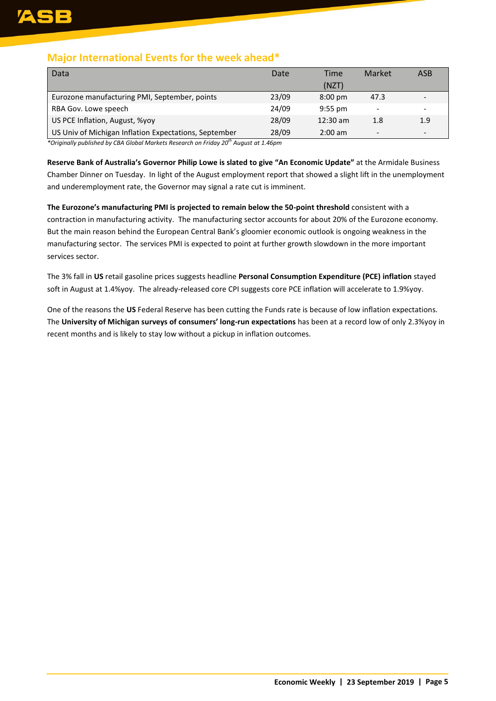# **Major International Events for the week ahead\***

| Data                                                  | Date  | Time              | Market          | ASB                      |
|-------------------------------------------------------|-------|-------------------|-----------------|--------------------------|
|                                                       |       | (NZT)             |                 |                          |
| Eurozone manufacturing PMI, September, points         | 23/09 | $8:00 \text{ pm}$ | 47.3            |                          |
| RBA Gov. Lowe speech                                  | 24/09 | $9:55$ pm         | ۰               |                          |
| US PCE Inflation, August, %yoy                        | 28/09 | $12:30$ am        | 1.8             | 1.9                      |
| US Univ of Michigan Inflation Expectations, September | 28/09 | $2:00 \text{ am}$ | $\qquad \qquad$ | $\overline{\phantom{0}}$ |

*\*Originally published by CBA Global Markets Research on Friday 20th August at 1.46pm*

**Reserve Bank of Australia's Governor Philip Lowe is slated to give "An Economic Update"** at the Armidale Business Chamber Dinner on Tuesday. In light of the August employment report that showed a slight lift in the unemployment and underemployment rate, the Governor may signal a rate cut is imminent.

**The Eurozone's manufacturing PMI is projected to remain below the 50-point threshold** consistent with a contraction in manufacturing activity. The manufacturing sector accounts for about 20% of the Eurozone economy. But the main reason behind the European Central Bank's gloomier economic outlook is ongoing weakness in the manufacturing sector. The services PMI is expected to point at further growth slowdown in the more important services sector.

The 3% fall in **US** retail gasoline prices suggests headline **Personal Consumption Expenditure (PCE) inflation** stayed soft in August at 1.4%yoy. The already-released core CPI suggests core PCE inflation will accelerate to 1.9%yoy.

One of the reasons the **US** Federal Reserve has been cutting the Funds rate is because of low inflation expectations. The **University of Michigan surveys of consumers' long-run expectations** has been at a record low of only 2.3%yoy in recent months and is likely to stay low without a pickup in inflation outcomes.